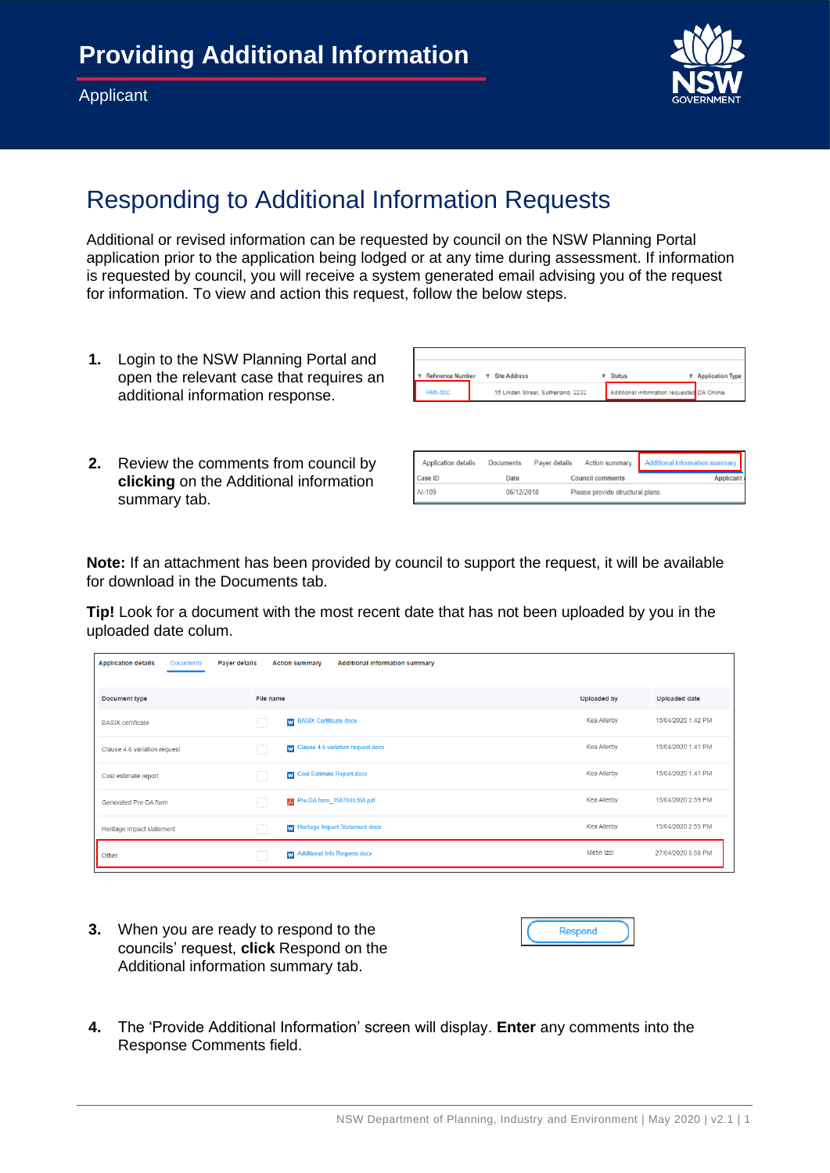

## Responding to Additional Information Requests

Additional or revised information can be requested by council on the NSW Planning Portal application prior to the application being lodged or at any time during assessment. If information is requested by council, you will receive a system generated email advising you of the request for information. To view and action this request, follow the below steps.

- **1.** Login to the NSW Planning Portal and open the relevant case that requires an additional information response.
- **Site Address** 16 Linden Street, Sutherland, 2232 Additional infor
- **2.** Review the comments from council by **clicking** on the Additional information summary tab.

| <b>Application details</b> | <b>Documents</b> | Payer details | <b>Action summary</b>            | Additional information summary |
|----------------------------|------------------|---------------|----------------------------------|--------------------------------|
| Case ID                    | Date             |               | <b>Council comments</b>          | Applicant                      |
| AI-109                     | 06/12/2018       |               | Please provide structural plans. |                                |

**Note:** If an attachment has been provided by council to support the request, it will be available for download in the Documents tab.

**Tip!** Look for a document with the most recent date that has not been uploaded by you in the uploaded date colum.

| <b>Documents</b><br><b>Application details</b><br>Payer details |           | <b>Action summary</b><br><b>Additional information summary</b> |             |                    |
|-----------------------------------------------------------------|-----------|----------------------------------------------------------------|-------------|--------------------|
| Document type                                                   | File name |                                                                | Uploaded by | Uploaded date      |
| <b>BASIX</b> certificate                                        |           | W BASIX Certificate.docx                                       | Kea Allerby | 15/04/2020 1:42 PM |
| Clause 4.6 variation request                                    |           | W Clause 4.6 variation request.docx                            | Kea Allerby | 15/04/2020 1:41 PM |
| Cost estimate report                                            |           | W Cost Estimate Report.docx                                    | Kea Allerby | 15/04/2020 1:41 PM |
| Generated Pre-DA form                                           |           | Pre-DA form_1587040358.pdf                                     | Kea Allerby | 15/04/2020 2:59 PM |
| Heritage impact statement                                       |           | W Heritage Impact Statement.docx                               | Kea Allerby | 15/04/2020 2:55 PM |
| Other                                                           |           | w Additional Info Request.docx                                 | Metin Izci  | 27/04/2020 5:58 PM |

**3.** When you are ready to respond to the councils' request, **click** Respond on the Additional information summary tab.



**4.** The 'Provide Additional Information' screen will display. **Enter** any comments into the Response Comments field.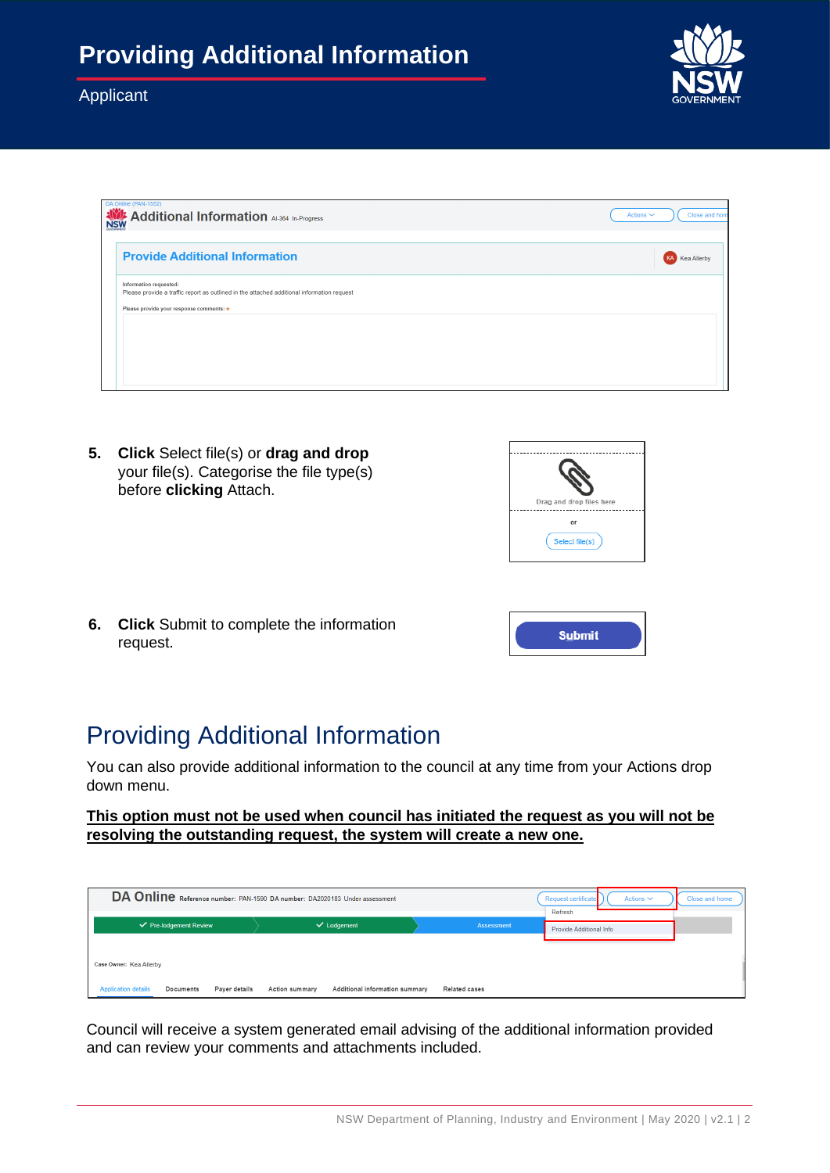

**5. Click** Select file(s) or **drag and drop** your file(s). Categorise the file type(s) before **clicking** Attach.



**Submit** 

**6. Click** Submit to complete the information request.

# Providing Additional Information

You can also provide additional information to the council at any time from your Actions drop down menu.

#### **This option must not be used when council has initiated the request as you will not be resolving the outstanding request, the system will create a new one.**

| DA Online Reference number: PAN-1590 DA number: DA2020183 Under assessment          | Request certificate<br>Actions $\sim$<br>Refresh        | Close and home       |                                |  |
|-------------------------------------------------------------------------------------|---------------------------------------------------------|----------------------|--------------------------------|--|
| $\checkmark$ Pre-lodgement Review                                                   | $\checkmark$ Lodgement                                  | Assessment           | <b>Provide Additional Info</b> |  |
| Case Owner: Kea Allerby<br>Payer details<br><b>Application details</b><br>Documents | Additional information summary<br><b>Action summary</b> | <b>Related cases</b> |                                |  |

Council will receive a system generated email advising of the additional information provided and can review your comments and attachments included.